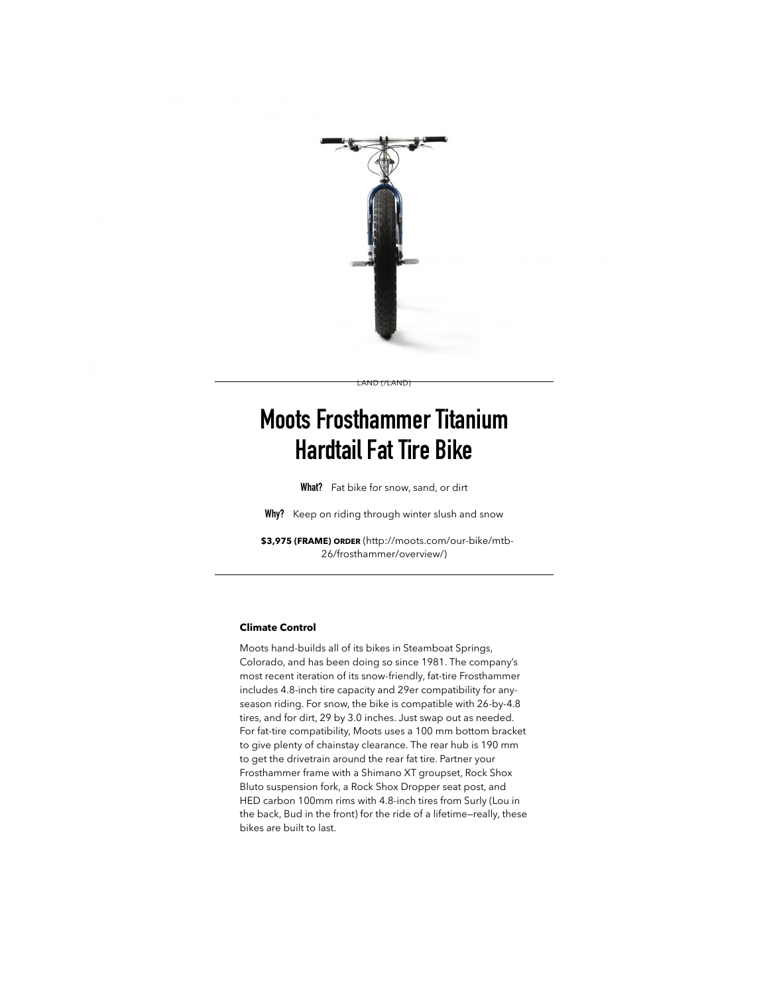

# **Moots Frosthammer Titanium Hardtail Fat Tire Bike**

[LAND \(/LAND\)](http://robbgear.robbreport.com/land)

**What?** Fat bike for snow, sand, or dirt

**Why?** Keep on riding through winter slush and snow

**\$3,975 (FRAME) ORDER** [\(http://moots.com/our-bike/mtb-](http://moots.com/our-bike/mtb-26/frosthammer/overview/)26/frosthammer/overview/)

#### **Climate Control**

Moots hand-builds all of its bikes in Steamboat Springs, Colorado, and has been doing so since 1981. The company's most recent iteration of its snow-friendly, fat-tire Frosthammer includes 4.8-inch tire capacity and 29er compatibility for anyseason riding. For snow, the bike is compatible with 26-by-4.8 tires, and for dirt, 29 by 3.0 inches. Just swap out as needed. For fat-tire compatibility, Moots uses a 100 mm bottom bracket to give plenty of chainstay clearance. The rear hub is 190 mm to get the drivetrain around the rear fat tire. Partner your Frosthammer frame with a Shimano XT groupset, Rock Shox Bluto suspension fork, a Rock Shox Dropper seat post, and HED carbon 100mm rims with 4.8-inch tires from Surly (Lou in the back, Bud in the front) for the ride of a lifetime—really, these bikes are built to last.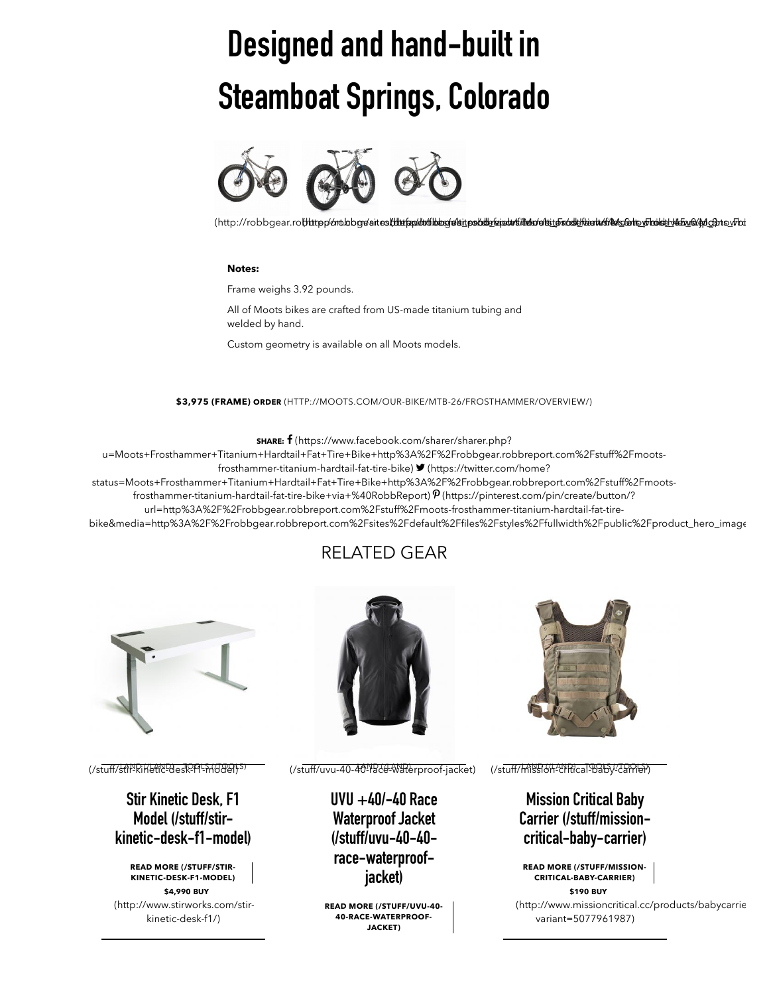# **Designed and hand-built in Steamboat Springs, Colorado**



(http://robbgear.rothttpp/molobgreaitesthinfamilinleggelait.ps/sdbreain/wiinder/elaiten/sodalkiantusfindes/shanghandes/defans/ehd

#### **Notes:**

Frame weighs 3.92 pounds.

All of Moots bikes are crafted from US-made titanium tubing and welded by hand.

Custom geometry is available on all Moots models.

**\$3,975 (FRAME) ORDER** [\(HTTP://MOOTS.COM/OUR-BIKE/MTB-26/FROSTHAMMER/OVERVIEW/\)](http://moots.com/our-bike/mtb-26/frosthammer/overview/)

**SHARE:** - (https://www.facebook.com/sharer/sharer.php?

[u=Moots+Frosthammer+Titanium+Hardtail+Fat+Tire+Bike+http%3A%2F%2Frobbgear.robbreport.com%2Fstuff%2Fmoots](https://www.facebook.com/sharer/sharer.php?u=Moots+Frosthammer+Titanium+Hardtail+Fat+Tire+Bike+http%3A%2F%2Frobbgear.robbreport.com%2Fstuff%2Fmoots-frosthammer-titanium-hardtail-fat-tire-bike)frosthammer-titanium-hardtail-fat-tire-bike) (https://twitter.com/home?

[status=Moots+Frosthammer+Titanium+Hardtail+Fat+Tire+Bike+http%3A%2F%2Frobbgear.robbreport.com%2Fstuff%2Fmoots-](https://twitter.com/home?status=Moots+Frosthammer+Titanium+Hardtail+Fat+Tire+Bike+http%3A%2F%2Frobbgear.robbreport.com%2Fstuff%2Fmoots-frosthammer-titanium-hardtail-fat-tire-bike+via+%40RobbReport)

frosthammer-titanium-hardtail-fat-tire-bike+via+%40RobbReport) $\mathcal P$ (https://pinterest.com/pin/create/button/?

url=http%3A%2F%2Frobbgear.robbreport.com%2Fstuff%2Fmoots-frosthammer-titanium-hardtail-fat-tire-

bike&media=http%3A%2F%2Frobbgear.robbreport.com%2Fsites%2Fdefault%2Ffiles%2Fstyles%2Ftullwidth%2Fpublic%2Fproduct\_hero\_image

## RELATED GEAR



<u>(/stuff/stikkikleticPdesiRFq=MQ&Si</u>S)

**Stir Kinetic Desk, F1 Model (/stuff/stir[kinetic-desk-f1-model\)](http://robbgear.robbreport.com/stuff/stir-kinetic-desk-f1-model)**

**[READ MORE \(/STUFF/STIR-](http://robbgear.robbreport.com/stuff/stir-kinetic-desk-f1-model)KINETIC-DESK-F1-MODEL) \$4,990 BUY** [\(http://www.stirworks.com/stir](http://www.stirworks.com/stir-kinetic-desk-f1/)kinetic-desk-f1/)



[\(/stuff/stir-kinetic-desk-f1-model\)](http://robbgear.robbreport.com/stuff/stir-kinetic-desk-f1-model) [\(/stuff/uvu-40-40-race-waterproof-jacket\)](http://robbgear.robbreport.com/stuff/uvu-40-40-race-waterproof-jacket) [\(/stuff/mission-critical-baby-carrier\)](http://robbgear.robbreport.com/stuff/mission-critical-baby-carrier) [LAND \(/LAND\)](http://robbgear.robbreport.com/land)

**[UVU +40/-40 Race](http://robbgear.robbreport.com/stuff/uvu-40-40-race-waterproof-jacket) Waterproof Jacket (/stuff/uvu-40-40 race-waterproofjacket)**

**[READ MORE \(/STUFF/UVU-40-](http://robbgear.robbreport.com/stuff/uvu-40-40-race-waterproof-jacket) 40-RACE-WATERPROOF-JACKET)**



(/stuff/ml99664-29Rical-9815)/-29PRef)

### **Mission Critical Baby [Carrier \(/stuff/mission](http://robbgear.robbreport.com/stuff/mission-critical-baby-carrier)critical-baby-carrier)**

**[READ MORE \(/STUFF/MISSION-](http://robbgear.robbreport.com/stuff/mission-critical-baby-carrier)CRITICAL-BABY-CARRIER)**

**\$190 BUY** [\(http://www.missioncritical.cc/products/babycarrie](http://www.missioncritical.cc/products/babycarrier?variant=5077961987) variant=5077961987)